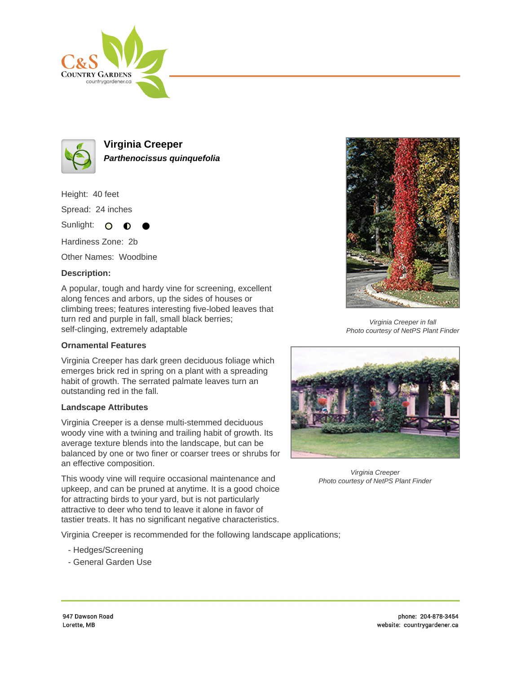



**Virginia Creeper Parthenocissus quinquefolia**

Height: 40 feet Spread: 24 inches Sunlight: O **O** 

Hardiness Zone: 2b

Other Names: Woodbine

## **Description:**

A popular, tough and hardy vine for screening, excellent along fences and arbors, up the sides of houses or climbing trees; features interesting five-lobed leaves that turn red and purple in fall, small black berries; self-clinging, extremely adaptable

## **Ornamental Features**

Virginia Creeper has dark green deciduous foliage which emerges brick red in spring on a plant with a spreading habit of growth. The serrated palmate leaves turn an outstanding red in the fall.

## **Landscape Attributes**

Virginia Creeper is a dense multi-stemmed deciduous woody vine with a twining and trailing habit of growth. Its average texture blends into the landscape, but can be balanced by one or two finer or coarser trees or shrubs for an effective composition.

This woody vine will require occasional maintenance and upkeep, and can be pruned at anytime. It is a good choice for attracting birds to your yard, but is not particularly attractive to deer who tend to leave it alone in favor of tastier treats. It has no significant negative characteristics.

Virginia Creeper is recommended for the following landscape applications;

- Hedges/Screening
- General Garden Use



Virginia Creeper in fall Photo courtesy of NetPS Plant Finder



Virginia Creeper Photo courtesy of NetPS Plant Finder